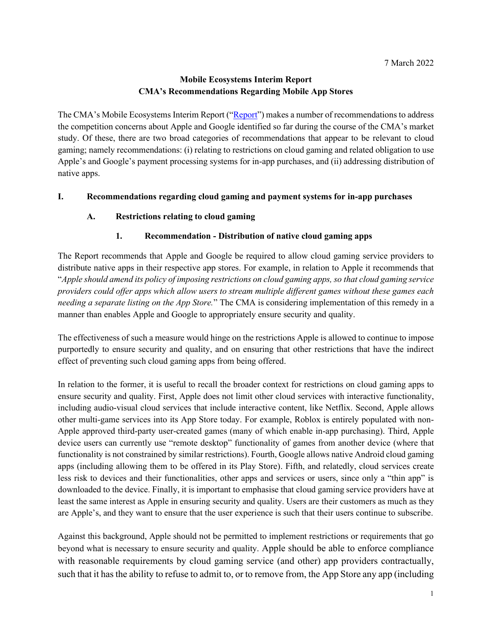# **Mobile Ecosystems Interim Report CMA's Recommendations Regarding Mobile App Stores**

The CMA's Mobile Ecosystems Interim Report (["Report"](https://assets.publishing.service.gov.uk/government/uploads/system/uploads/attachment_data/file/1042634/MES_FINAL_-.pdf)) makes a number of recommendations to address the competition concerns about Apple and Google identified so far during the course of the CMA's market study. Of these, there are two broad categories of recommendations that appear to be relevant to cloud gaming; namely recommendations: (i) relating to restrictions on cloud gaming and related obligation to use Apple's and Google's payment processing systems for in-app purchases, and (ii) addressing distribution of native apps.

### **I. Recommendations regarding cloud gaming and payment systems for in-app purchases**

### **A. Restrictions relating to cloud gaming**

### **1. Recommendation - Distribution of native cloud gaming apps**

The Report recommends that Apple and Google be required to allow cloud gaming service providers to distribute native apps in their respective app stores. For example, in relation to Apple it recommends that "*Apple should amend its policy of imposing restrictions on cloud gaming apps, so that cloud gaming service providers could offer apps which allow users to stream multiple different games without these games each needing a separate listing on the App Store.*" The CMA is considering implementation of this remedy in a manner than enables Apple and Google to appropriately ensure security and quality.

The effectiveness of such a measure would hinge on the restrictions Apple is allowed to continue to impose purportedly to ensure security and quality, and on ensuring that other restrictions that have the indirect effect of preventing such cloud gaming apps from being offered.

In relation to the former, it is useful to recall the broader context for restrictions on cloud gaming apps to ensure security and quality. First, Apple does not limit other cloud services with interactive functionality, including audio-visual cloud services that include interactive content, like Netflix. Second, Apple allows other multi-game services into its App Store today. For example, Roblox is entirely populated with non-Apple approved third-party user-created games (many of which enable in-app purchasing). Third, Apple device users can currently use "remote desktop" functionality of games from another device (where that functionality is not constrained by similar restrictions). Fourth, Google allows native Android cloud gaming apps (including allowing them to be offered in its Play Store). Fifth, and relatedly, cloud services create less risk to devices and their functionalities, other apps and services or users, since only a "thin app" is downloaded to the device. Finally, it is important to emphasise that cloud gaming service providers have at least the same interest as Apple in ensuring security and quality. Users are their customers as much as they are Apple's, and they want to ensure that the user experience is such that their users continue to subscribe.

Against this background, Apple should not be permitted to implement restrictions or requirements that go beyond what is necessary to ensure security and quality. Apple should be able to enforce compliance with reasonable requirements by cloud gaming service (and other) app providers contractually, such that it has the ability to refuse to admit to, or to remove from, the App Store any app (including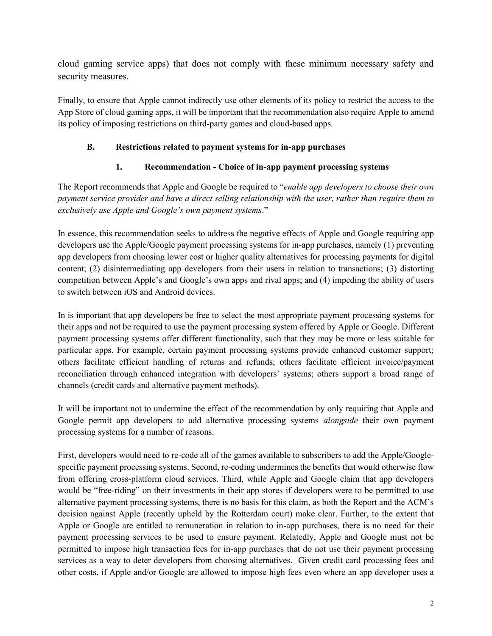cloud gaming service apps) that does not comply with these minimum necessary safety and security measures.

Finally, to ensure that Apple cannot indirectly use other elements of its policy to restrict the access to the App Store of cloud gaming apps, it will be important that the recommendation also require Apple to amend its policy of imposing restrictions on third-party games and cloud-based apps.

### **B. Restrictions related to payment systems for in-app purchases**

## **1. Recommendation - Choice of in-app payment processing systems**

The Report recommends that Apple and Google be required to "*enable app developers to choose their own payment service provider and have a direct selling relationship with the user, rather than require them to exclusively use Apple and Google's own payment systems*."

In essence, this recommendation seeks to address the negative effects of Apple and Google requiring app developers use the Apple/Google payment processing systems for in-app purchases, namely (1) preventing app developers from choosing lower cost or higher quality alternatives for processing payments for digital content; (2) disintermediating app developers from their users in relation to transactions; (3) distorting competition between Apple's and Google's own apps and rival apps; and (4) impeding the ability of users to switch between iOS and Android devices.

In is important that app developers be free to select the most appropriate payment processing systems for their apps and not be required to use the payment processing system offered by Apple or Google. Different payment processing systems offer different functionality, such that they may be more or less suitable for particular apps. For example, certain payment processing systems provide enhanced customer support; others facilitate efficient handling of returns and refunds; others facilitate efficient invoice/payment reconciliation through enhanced integration with developers' systems; others support a broad range of channels (credit cards and alternative payment methods).

It will be important not to undermine the effect of the recommendation by only requiring that Apple and Google permit app developers to add alternative processing systems *alongside* their own payment processing systems for a number of reasons.

First, developers would need to re-code all of the games available to subscribers to add the Apple/Googlespecific payment processing systems. Second, re-coding undermines the benefits that would otherwise flow from offering cross-platform cloud services. Third, while Apple and Google claim that app developers would be "free-riding" on their investments in their app stores if developers were to be permitted to use alternative payment processing systems, there is no basis for this claim, as both the Report and the ACM's decision against Apple (recently upheld by the Rotterdam court) make clear. Further, to the extent that Apple or Google are entitled to remuneration in relation to in-app purchases, there is no need for their payment processing services to be used to ensure payment. Relatedly, Apple and Google must not be permitted to impose high transaction fees for in-app purchases that do not use their payment processing services as a way to deter developers from choosing alternatives. Given credit card processing fees and other costs, if Apple and/or Google are allowed to impose high fees even where an app developer uses a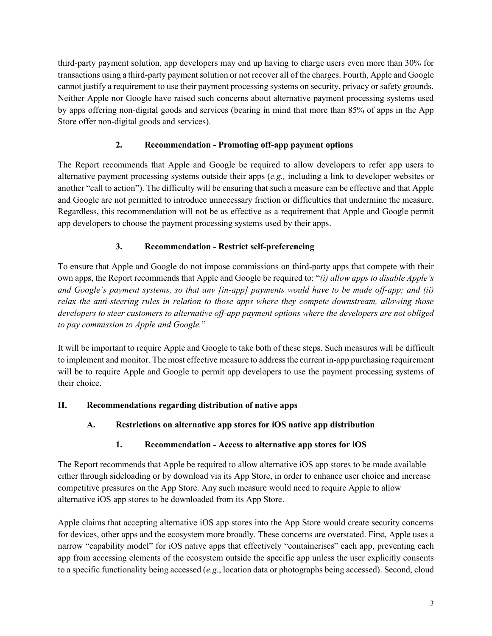third-party payment solution, app developers may end up having to charge users even more than 30% for transactions using a third-party payment solution or not recover all of the charges. Fourth, Apple and Google cannot justify a requirement to use their payment processing systems on security, privacy or safety grounds. Neither Apple nor Google have raised such concerns about alternative payment processing systems used by apps offering non-digital goods and services (bearing in mind that more than 85% of apps in the App Store offer non-digital goods and services).

# **2. Recommendation - Promoting off-app payment options**

The Report recommends that Apple and Google be required to allow developers to refer app users to alternative payment processing systems outside their apps (*e.g.,* including a link to developer websites or another "call to action"). The difficulty will be ensuring that such a measure can be effective and that Apple and Google are not permitted to introduce unnecessary friction or difficulties that undermine the measure. Regardless, this recommendation will not be as effective as a requirement that Apple and Google permit app developers to choose the payment processing systems used by their apps.

# **3. Recommendation - Restrict self-preferencing**

To ensure that Apple and Google do not impose commissions on third-party apps that compete with their own apps, the Report recommends that Apple and Google be required to: "*(i) allow apps to disable Apple's and Google's payment systems, so that any [in-app] payments would have to be made off-app; and (ii) relax the anti-steering rules in relation to those apps where they compete downstream, allowing those developers to steer customers to alternative off-app payment options where the developers are not obliged to pay commission to Apple and Google.*"

It will be important to require Apple and Google to take both of these steps. Such measures will be difficult to implement and monitor. The most effective measure to address the current in-app purchasing requirement will be to require Apple and Google to permit app developers to use the payment processing systems of their choice.

## **II. Recommendations regarding distribution of native apps**

## **A. Restrictions on alternative app stores for iOS native app distribution**

## **1. Recommendation - Access to alternative app stores for iOS**

The Report recommends that Apple be required to allow alternative iOS app stores to be made available either through sideloading or by download via its App Store, in order to enhance user choice and increase competitive pressures on the App Store. Any such measure would need to require Apple to allow alternative iOS app stores to be downloaded from its App Store.

Apple claims that accepting alternative iOS app stores into the App Store would create security concerns for devices, other apps and the ecosystem more broadly. These concerns are overstated. First, Apple uses a narrow "capability model" for iOS native apps that effectively "containerises" each app, preventing each app from accessing elements of the ecosystem outside the specific app unless the user explicitly consents to a specific functionality being accessed (*e.g.*, location data or photographs being accessed). Second, cloud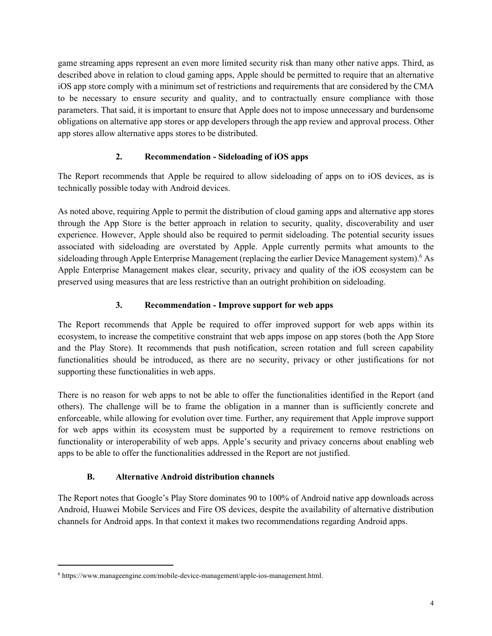game streaming apps represent an even more limited security risk than many other native apps. Third, as described above in relation to cloud gaming apps, Apple should be permitted to require that an alternative iOS app store comply with a minimum set of restrictions and requirements that are considered by the CMA to be necessary to ensure security and quality, and to contractually ensure compliance with those parameters. That said, it is important to ensure that Apple does not to impose unnecessary and burdensome obligations on alternative app stores or app developers through the app review and approval process. Other app stores allow alternative apps stores to be distributed.

## **2. Recommendation - Sideloading of iOS apps**

The Report recommends that Apple be required to allow sideloading of apps on to iOS devices, as is technically possible today with Android devices.

As noted above, requiring Apple to permit the distribution of cloud gaming apps and alternative app stores through the App Store is the better approach in relation to security, quality, discoverability and user experience. However, Apple should also be required to permit sideloading. The potential security issues associated with sideloading are overstated by Apple. Apple currently permits what amounts to the sideloading through Apple Enterprise Management (replacing the earlier Device Management system). <sup>6</sup> As Apple Enterprise Management makes clear, security, privacy and quality of the iOS ecosystem can be preserved using measures that are less restrictive than an outright prohibition on sideloading.

### **3. Recommendation - Improve support for web apps**

The Report recommends that Apple be required to offer improved support for web apps within its ecosystem, to increase the competitive constraint that web apps impose on app stores (both the App Store and the Play Store). It recommends that push notification, screen rotation and full screen capability functionalities should be introduced, as there are no security, privacy or other justifications for not supporting these functionalities in web apps.

There is no reason for web apps to not be able to offer the functionalities identified in the Report (and others). The challenge will be to frame the obligation in a manner than is sufficiently concrete and enforceable, while allowing for evolution over time. Further, any requirement that Apple improve support for web apps within its ecosystem must be supported by a requirement to remove restrictions on functionality or interoperability of web apps. Apple's security and privacy concerns about enabling web apps to be able to offer the functionalities addressed in the Report are not justified.

#### **B. Alternative Android distribution channels**

The Report notes that Google's Play Store dominates 90 to 100% of Android native app downloads across Android, Huawei Mobile Services and Fire OS devices, despite the availability of alternative distribution channels for Android apps. In that context it makes two recommendations regarding Android apps.

<sup>6</sup> https://www.manageengine.com/mobile-device-management/apple-ios-management.html.